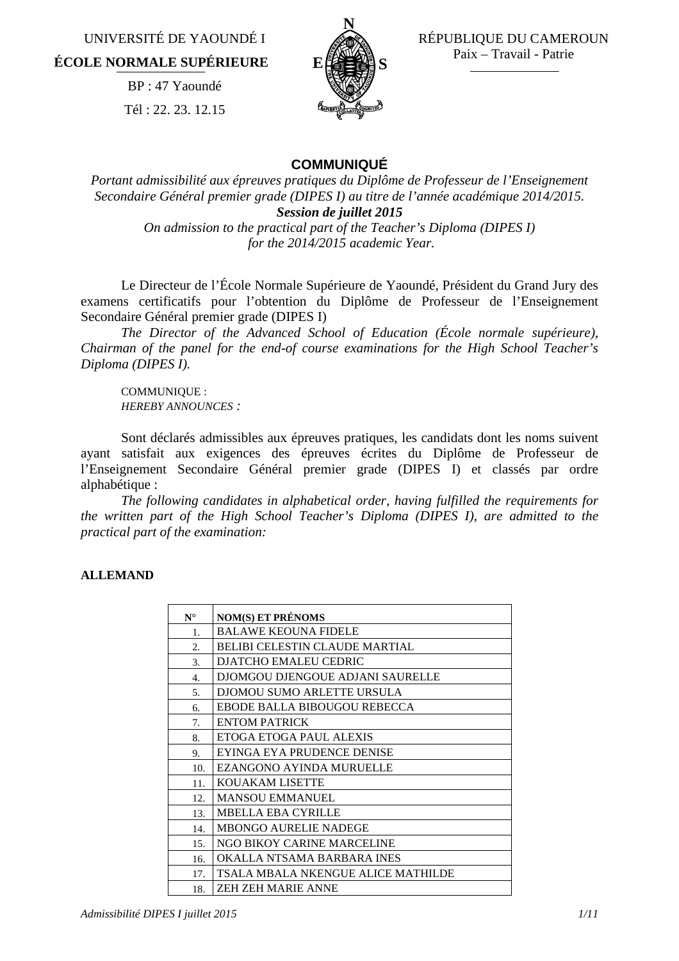UNIVERSITÉ DE YAOUNDÉ I **ÉCOLE NORMALE SUPÉRIEURE** 

> BP : 47 Yaoundé Tél : 22. 23. 12.15



 RÉPUBLIQUE DU CAMEROUN Paix – Travail - Patrie

## **COMMUNIQUÉ**

*Portant admissibilité aux épreuves pratiques du Diplôme de Professeur de l'Enseignement Secondaire Général premier grade (DIPES I) au titre de l'année académique 2014/2015. Session de juillet 2015*

*On admission to the practical part of the Teacher's Diploma (DIPES I) for the 2014/2015 academic Year.*

Le Directeur de l'École Normale Supérieure de Yaoundé, Président du Grand Jury des examens certificatifs pour l'obtention du Diplôme de Professeur de l'Enseignement Secondaire Général premier grade (DIPES I)

*The Director of the Advanced School of Education (École normale supérieure), Chairman of the panel for the end-of course examinations for the High School Teacher's Diploma (DIPES I).*

COMMUNIQUE : *HEREBY ANNOUNCES :* 

Sont déclarés admissibles aux épreuves pratiques, les candidats dont les noms suivent ayant satisfait aux exigences des épreuves écrites du Diplôme de Professeur de l'Enseignement Secondaire Général premier grade (DIPES I) et classés par ordre alphabétique :

*The following candidates in alphabetical order, having fulfilled the requirements for the written part of the High School Teacher's Diploma (DIPES I), are admitted to the practical part of the examination:*

### **ALLEMAND**

| $N^{\circ}$ | <b>NOM(S) ET PRÉNOMS</b>              |
|-------------|---------------------------------------|
| 1.          | <b>BALAWE KEOUNA FIDELE</b>           |
| 2.          | <b>BELIBI CELESTIN CLAUDE MARTIAL</b> |
| 3.          | DJATCHO EMALEU CEDRIC                 |
| 4.          | DJOMGOU DJENGOUE ADJANI SAURELLE      |
| 5.          | DJOMOU SUMO ARLETTE URSULA            |
| 6.          | EBODE BALLA BIBOUGOU REBECCA          |
| 7.          | <b>ENTOM PATRICK</b>                  |
| 8.          | ETOGA ETOGA PAUL ALEXIS               |
| 9.          | EYINGA EYA PRUDENCE DENISE            |
| 10.         | EZANGONO AYINDA MURUELLE              |
| 11.         | <b>KOUAKAM LISETTE</b>                |
| 12.         | <b>MANSOU EMMANUEL</b>                |
| 13.         | <b>MBELLA EBA CYRILLE</b>             |
| 14.         | <b>MBONGO AURELIE NADEGE</b>          |
| 15.         | NGO BIKOY CARINE MARCELINE            |
| 16.         | OKALLA NTSAMA BARBARA INES            |
| 17.         | TSALA MBALA NKENGUE ALICE MATHILDE    |
| 18.         | ZEH ZEH MARIE ANNE                    |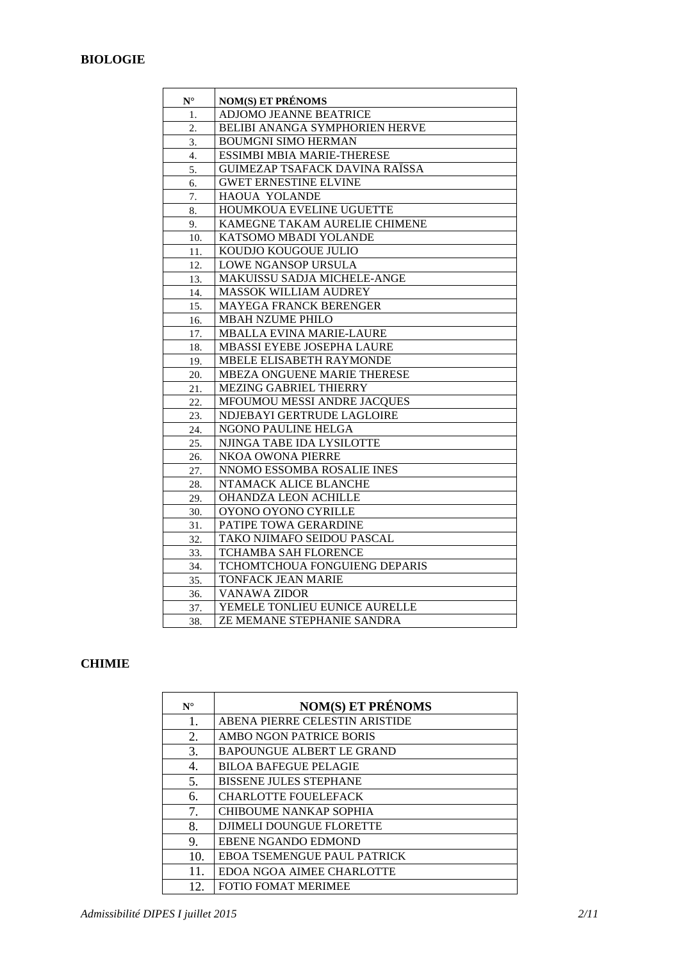### **BIOLOGIE**

| ${\bf N}^\circ$ | <b>NOM(S) ET PRÉNOMS</b>       |
|-----------------|--------------------------------|
| 1.              | <b>ADJOMO JEANNE BEATRICE</b>  |
| 2.              | BELIBI ANANGA SYMPHORIEN HERVE |
| 3.              | <b>BOUMGNI SIMO HERMAN</b>     |
| 4.              | ESSIMBI MBIA MARIE-THERESE     |
| 5.              | GUIMEZAP TSAFACK DAVINA RAÏSSA |
| 6.              | <b>GWET ERNESTINE ELVINE</b>   |
| 7.              | HAOUA YOLANDE                  |
| 8.              | HOUMKOUA EVELINE UGUETTE       |
| 9.              | KAMEGNE TAKAM AURELIE CHIMENE  |
| 10.             | KATSOMO MBADI YOLANDE          |
| 11.             | KOUDJO KOUGOUE JULIO           |
| 12.             | LOWE NGANSOP URSULA            |
| 13.             | MAKUISSU SADJA MICHELE-ANGE    |
| 14.             | MASSOK WILLIAM AUDREY          |
| 15.             | MAYEGA FRANCK BERENGER         |
| 16.             | <b>MBAH NZUME PHILO</b>        |
| 17.             | MBALLA EVINA MARIE-LAURE       |
| 18.             | MBASSI EYEBE JOSEPHA LAURE     |
| 19.             | MBELE ELISABETH RAYMONDE       |
| 20.             | MBEZA ONGUENE MARIE THERESE    |
| 21.             | MEZING GABRIEL THIERRY         |
| 22.             | MFOUMOU MESSI ANDRE JACQUES    |
| 23.             | NDJEBAYI GERTRUDE LAGLOIRE     |
| 24.             | NGONO PAULINE HELGA            |
| 25.             | NJINGA TABE IDA LYSILOTTE      |
| 26.             | NKOA OWONA PIERRE              |
| 27.             | NNOMO ESSOMBA ROSALIE INES     |
| 28.             | NTAMACK ALICE BLANCHE          |
| 29.             | OHANDZA LEON ACHILLE           |
| 30.             | OYONO OYONO CYRILLE            |
| 31.             | PATIPE TOWA GERARDINE          |
| 32.             | TAKO NJIMAFO SEIDOU PASCAL     |
| 33.             | <b>TCHAMBA SAH FLORENCE</b>    |
| 34.             | TCHOMTCHOUA FONGUIENG DEPARIS  |
| 35.             | <b>TONFACK JEAN MARIE</b>      |
| 36.             | <b>VANAWA ZIDOR</b>            |
| 37.             | YEMELE TONLIEU EUNICE AURELLE  |
| 38.             | ZE MEMANE STEPHANIE SANDRA     |

#### **CHIMIE**

| $N^{\circ}$ | <b>NOM(S) ET PRÉNOMS</b>           |
|-------------|------------------------------------|
| 1.          | ABENA PIERRE CELESTIN ARISTIDE     |
| 2.          | AMBO NGON PATRICE BORIS            |
| 3.          | <b>BAPOUNGUE ALBERT LE GRAND</b>   |
| 4.          | <b>BILOA BAFEGUE PELAGIE</b>       |
| 5.          | <b>BISSENE JULES STEPHANE</b>      |
| 6.          | <b>CHARLOTTE FOUELEFACK</b>        |
| 7.          | <b>CHIBOUME NANKAP SOPHIA</b>      |
| 8.          | <b>DJIMELI DOUNGUE FLORETTE</b>    |
| 9.          | <b>EBENE NGANDO EDMOND</b>         |
| 10.         | <b>EBOA TSEMENGUE PAUL PATRICK</b> |
| 11.         | EDOA NGOA AIMEE CHARLOTTE          |
| 12.         | <b>FOTIO FOMAT MERIMEE</b>         |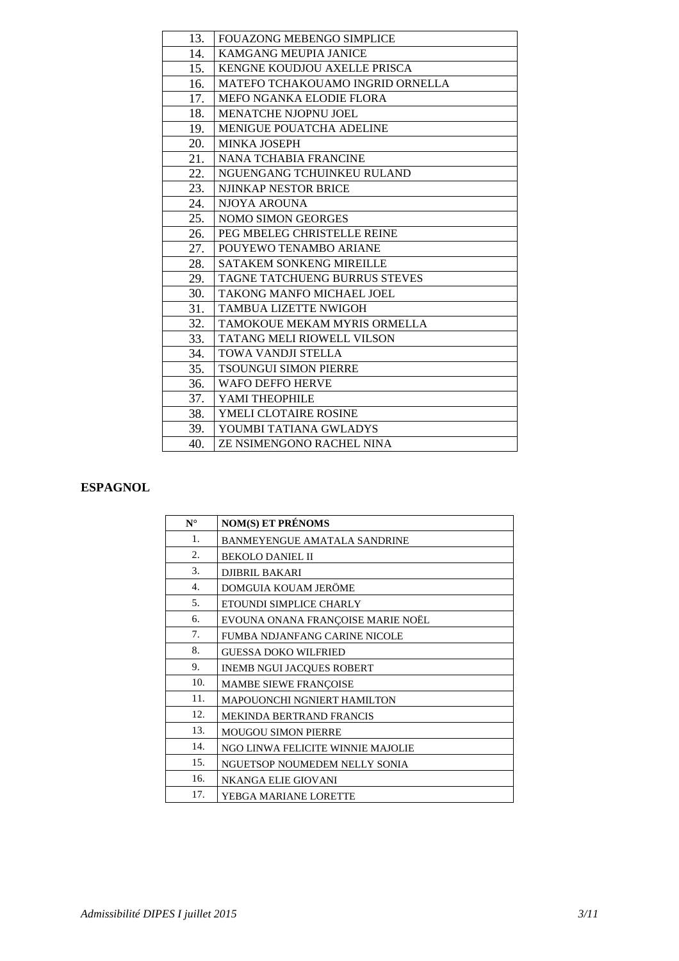| 13. | <b>FOUAZONG MEBENGO SIMPLICE</b>        |
|-----|-----------------------------------------|
| 14. | <b>KAMGANG MEUPIA JANICE</b>            |
| 15. | KENGNE KOUDJOU AXELLE PRISCA            |
| 16. | <b>MATEFO TCHAKOUAMO INGRID ORNELLA</b> |
| 17. | MEFO NGANKA ELODIE FLORA                |
| 18. | MENATCHE NJOPNU JOEL                    |
| 19. | <b>MENIGUE POUATCHA ADELINE</b>         |
| 20. | <b>MINKA JOSEPH</b>                     |
| 21. | <b>NANA TCHABIA FRANCINE</b>            |
| 22. | NGUENGANG TCHUINKEU RULAND              |
| 23. | NJINKAP NESTOR BRICE                    |
| 24. | NJOYA AROUNA                            |
| 25. | <b>NOMO SIMON GEORGES</b>               |
| 26. | PEG MBELEG CHRISTELLE REINE             |
| 27. | POUYEWO TENAMBO ARIANE                  |
| 28. | <b>SATAKEM SONKENG MIREILLE</b>         |
| 29. | <b>TAGNE TATCHUENG BURRUS STEVES</b>    |
| 30. | TAKONG MANFO MICHAEL JOEL               |
| 31. | <b>TAMBUA LIZETTE NWIGOH</b>            |
| 32. | TAMOKOUE MEKAM MYRIS ORMELLA            |
| 33. | <b>TATANG MELI RIOWELL VILSON</b>       |
| 34. | TOWA VANDJI STELLA                      |
| 35. | <b>TSOUNGUI SIMON PIERRE</b>            |
| 36. | WAFO DEFFO HERVE                        |
| 37. | YAMI THEOPHILE                          |
| 38. | <b>YMELI CLOTAIRE ROSINE</b>            |
| 39. | YOUMBI TATIANA GWLADYS                  |
| 40. | ZE NSIMENGONO RACHEL NINA               |

#### **ESPAGNOL**

| $N^{\circ}$ | <b>NOM(S) ET PRÉNOMS</b>             |
|-------------|--------------------------------------|
| 1.          | BANMEYENGUE AMATALA SANDRINE         |
| 2.          | <b>BEKOLO DANIEL II</b>              |
| 3.          | <b>DJIBRIL BAKARI</b>                |
| 4.          | DOMGUIA KOUAM JERÖME                 |
| 5.          | ETOUNDI SIMPLICE CHARLY              |
| 6.          | EVOUNA ONANA FRANÇOISE MARIE NOËL    |
| 7.          | <b>FUMBA NDJANFANG CARINE NICOLE</b> |
| 8.          | <b>GUESSA DOKO WILFRIED</b>          |
| 9.          | <b>INEMB NGUI JACQUES ROBERT</b>     |
| 10.         | MAMBE SIEWE FRANÇOISE                |
| 11.         | <b>MAPOUONCHI NGNIERT HAMILTON</b>   |
| 12.         | <b>MEKINDA BERTRAND FRANCIS</b>      |
| 13.         | <b>MOUGOU SIMON PIERRE</b>           |
| 14.         | NGO LINWA FELICITE WINNIE MAJOLIE    |
| 15.         | NGUETSOP NOUMEDEM NELLY SONIA        |
| 16.         | NKANGA ELIE GIOVANI                  |
| 17.         | YEBGA MARIANE LORETTE                |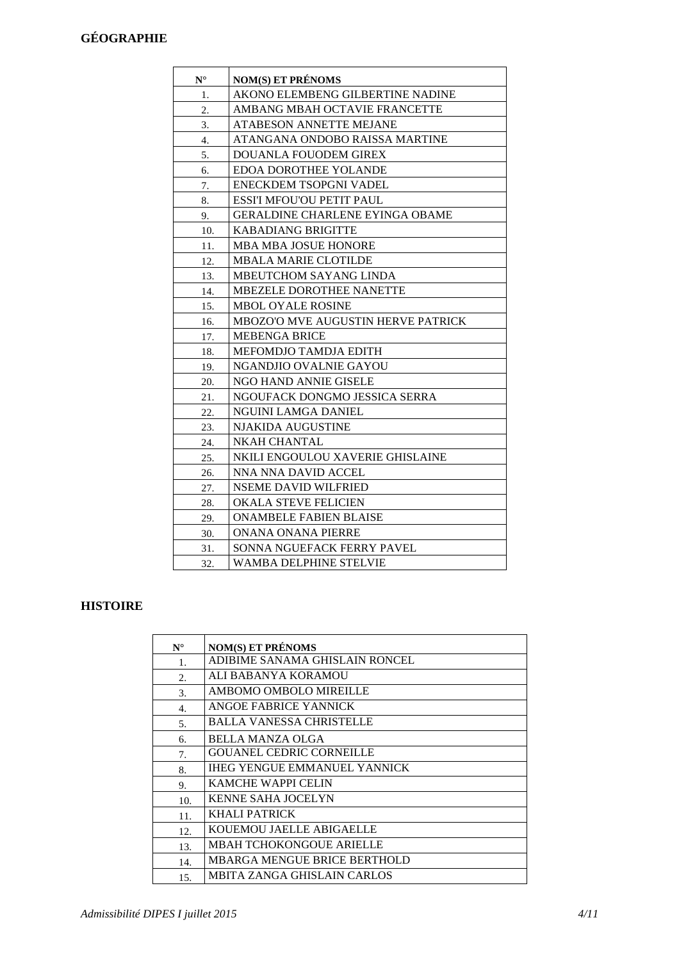## **GÉOGRAPHIE**

| $\mathbf{N}^\circ$ | <b>NOM(S) ET PRÉNOMS</b>                  |
|--------------------|-------------------------------------------|
| 1.                 | AKONO ELEMBENG GILBERTINE NADINE          |
| 2.                 | AMBANG MBAH OCTAVIE FRANCETTE             |
| 3.                 | <b>ATABESON ANNETTE MEJANE</b>            |
| 4.                 | ATANGANA ONDOBO RAISSA MARTINE            |
| 5.                 | DOUANLA FOUODEM GIREX                     |
| 6.                 | EDOA DOROTHEE YOLANDE                     |
| 7.                 | ENECKDEM TSOPGNI VADEL                    |
| 8.                 | <b>ESSI'I MFOU'OU PETIT PAUL</b>          |
| 9.                 | GERALDINE CHARLENE EYINGA OBAME           |
| 10.                | <b>KABADIANG BRIGITTE</b>                 |
| 11.                | <b>MBA MBA JOSUE HONORE</b>               |
| 12.                | <b>MBALA MARIE CLOTILDE</b>               |
| 13.                | <b>MBEUTCHOM SAYANG LINDA</b>             |
| 14.                | MBEZELE DOROTHEE NANETTE                  |
| 15.                | MBOL OYALE ROSINE                         |
| 16.                | <b>MBOZO'O MVE AUGUSTIN HERVE PATRICK</b> |
| 17.                | <b>MEBENGA BRICE</b>                      |
| 18.                | <b>MEFOMDJO TAMDJA EDITH</b>              |
| 19.                | NGANDJIO OVALNIE GAYOU                    |
| 20.                | NGO HAND ANNIE GISELE                     |
| 21.                | NGOUFACK DONGMO JESSICA SERRA             |
| 22.                | NGUINI LAMGA DANIEL                       |
| 23.                | <b>NJAKIDA AUGUSTINE</b>                  |
| 24.                | NKAH CHANTAL                              |
| 25.                | NKILI ENGOULOU XAVERIE GHISLAINE          |
| 26.                | NNA NNA DAVID ACCEL                       |
| 27.                | NSEME DAVID WILFRIED                      |
| 28.                | OKALA STEVE FELICIEN                      |
| 29.                | <b>ONAMBELE FABIEN BLAISE</b>             |
| 30.                | ONANA ONANA PIERRE                        |
| 31.                | SONNA NGUEFACK FERRY PAVEL                |
| 32.                | WAMBA DELPHINE STELVIE                    |

## **HISTOIRE**

| $N^{\circ}$ | <b>NOM(S) ET PRÉNOMS</b>            |
|-------------|-------------------------------------|
| 1.          | ADIBIME SANAMA GHISLAIN RONCEL      |
| 2.          | ALI BABANYA KORAMOU                 |
| 3.          | AMBOMO OMBOLO MIREILLE              |
| 4.          | ANGOE FABRICE YANNICK               |
| 5.          | BALLA VANESSA CHRISTELLE            |
| 6.          | BELLA MANZA OLGA                    |
| 7.          | <b>GOUANEL CEDRIC CORNEILLE</b>     |
| 8.          | <b>IHEG YENGUE EMMANUEL YANNICK</b> |
| 9.          | KAMCHE WAPPI CELIN                  |
| 10.         | <b>KENNE SAHA JOCELYN</b>           |
| 11.         | KHALI PATRICK                       |
| 12.         | KOUEMOU JAELLE ABIGAELLE            |
| 13.         | MBAH TCHOKONGOUE ARIELLE            |
| 14.         | MBARGA MENGUE BRICE BERTHOLD        |
| 15.         | MBITA ZANGA GHISLAIN CARLOS         |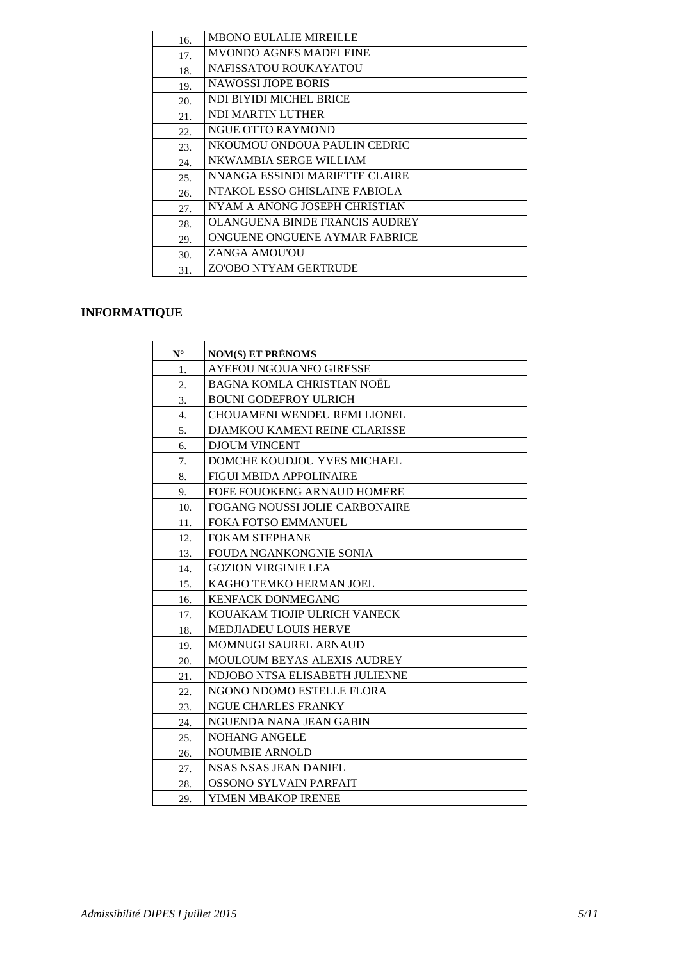| 16. | <b>MBONO EULALIE MIREILLE</b>  |
|-----|--------------------------------|
| 17. | MVONDO AGNES MADELEINE         |
| 18. | NAFISSATOU ROUKAYATOU          |
| 19. | NAWOSSI JIOPE BORIS            |
| 20. | NDI BIYIDI MICHEL BRICE        |
| 21. | NDI MARTIN LUTHER              |
| 22. | <b>NGUE OTTO RAYMOND</b>       |
| 23. | NKOUMOU ONDOUA PAULIN CEDRIC   |
| 24. | NKWAMBIA SERGE WILLIAM         |
| 25. | NNANGA ESSINDI MARIETTE CLAIRE |
| 26. | NTAKOL ESSO GHISLAINE FABIOLA  |
| 27. | NYAM A ANONG JOSEPH CHRISTIAN  |
| 28. | OLANGUENA BINDE FRANCIS AUDREY |
| 29. | ONGUENE ONGUENE AYMAR FABRICE  |
| 30. | ZANGA AMOU'OU                  |
| 31. | ZO'OBO NTYAM GERTRUDE          |
|     |                                |

## **INFORMATIQUE**

| $N^{\circ}$ | <b>NOM(S) ET PRÉNOMS</b>             |
|-------------|--------------------------------------|
| 1.          | AYEFOU NGOUANFO GIRESSE              |
| 2.          | BAGNA KOMLA CHRISTIAN NOËL           |
| 3.          | <b>BOUNI GODEFROY ULRICH</b>         |
| 4.          | CHOUAMENI WENDEU REMI LIONEL         |
| 5.          | <b>DJAMKOU KAMENI REINE CLARISSE</b> |
| 6.          | <b>DJOUM VINCENT</b>                 |
| 7.          | DOMCHE KOUDJOU YVES MICHAEL          |
| 8.          | <b>FIGUI MBIDA APPOLINAIRE</b>       |
| 9.          | FOFE FOUOKENG ARNAUD HOMERE          |
| 10.         | FOGANG NOUSSI JOLIE CARBONAIRE       |
| 11.         | FOKA FOTSO EMMANUEL                  |
| 12.         | <b>FOKAM STEPHANE</b>                |
| 13.         | <b>FOUDA NGANKONGNIE SONIA</b>       |
| 14.         | <b>GOZION VIRGINIE LEA</b>           |
| 15.         | KAGHO TEMKO HERMAN JOEL              |
| 16.         | <b>KENFACK DONMEGANG</b>             |
| 17.         | KOUAKAM TIOJIP ULRICH VANECK         |
| 18.         | MEDJIADEU LOUIS HERVE                |
| 19.         | <b>MOMNUGI SAUREL ARNAUD</b>         |
| 20.         | <b>MOULOUM BEYAS ALEXIS AUDREY</b>   |
| 21.         | NDJOBO NTSA ELISABETH JULIENNE       |
| 22.         | NGONO NDOMO ESTELLE FLORA            |
| 23.         | <b>NGUE CHARLES FRANKY</b>           |
| 24.         | NGUENDA NANA JEAN GABIN              |
| 25.         | <b>NOHANG ANGELE</b>                 |
| 26.         | <b>NOUMBIE ARNOLD</b>                |
| 27.         | NSAS NSAS JEAN DANIEL                |
| 28.         | OSSONO SYLVAIN PARFAIT               |
| 29.         | YIMEN MBAKOP IRENEE                  |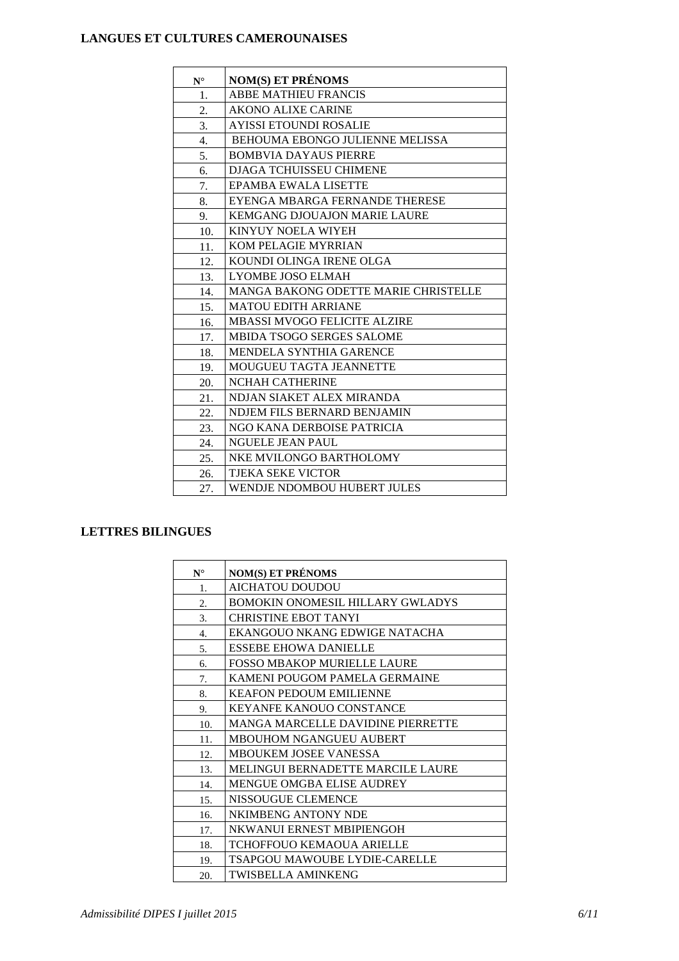#### **LANGUES ET CULTURES CAMEROUNAISES**

| $N^{\circ}$ | <b>NOM(S) ET PRÉNOMS</b>             |
|-------------|--------------------------------------|
| 1.          | <b>ABBE MATHIEU FRANCIS</b>          |
| 2.          | <b>AKONO ALIXE CARINE</b>            |
| 3.          | <b>AYISSI ETOUNDI ROSALIE</b>        |
| 4.          | BEHOUMA EBONGO JULIENNE MELISSA      |
| 5.          | <b>BOMBVIA DAYAUS PIERRE</b>         |
| 6.          | DJAGA TCHUISSEU CHIMENE              |
| 7.          | EPAMBA EWALA LISETTE                 |
| 8.          | EYENGA MBARGA FERNANDE THERESE       |
| 9.          | KEMGANG DJOUAJON MARIE LAURE         |
| 10.         | KINYUY NOELA WIYEH                   |
| 11.         | KOM PELAGIE MYRRIAN                  |
| 12.         | KOUNDI OLINGA IRENE OLGA             |
| 13.         | <b>LYOMBE JOSO ELMAH</b>             |
| 14.         | MANGA BAKONG ODETTE MARIE CHRISTELLE |
| 15.         | <b>MATOU EDITH ARRIANE</b>           |
| 16.         | <b>MBASSI MVOGO FELICITE ALZIRE</b>  |
| 17.         | <b>MBIDA TSOGO SERGES SALOME</b>     |
| 18.         | MENDELA SYNTHIA GARENCE              |
| 19.         | MOUGUEU TAGTA JEANNETTE              |
| 20.         | <b>NCHAH CATHERINE</b>               |
| 21.         | NDJAN SIAKET ALEX MIRANDA            |
| 22.         | NDJEM FILS BERNARD BENJAMIN          |
| 23.         | NGO KANA DERBOISE PATRICIA           |
| 24.         | <b>NGUELE JEAN PAUL</b>              |
| 25.         | NKE MVILONGO BARTHOLOMY              |
| 26.         | TJEKA SEKE VICTOR                    |
| 27.         | <b>WENDJE NDOMBOU HUBERT JULES</b>   |

### **LETTRES BILINGUES**

| $N^{\circ}$      | <b>NOM(S) ET PRÉNOMS</b>                 |
|------------------|------------------------------------------|
| 1.               | <b>AICHATOU DOUDOU</b>                   |
| 2.               | BOMOKIN ONOMESIL HILLARY GWLADYS         |
| 3.               | <b>CHRISTINE EBOT TANYI</b>              |
| $\overline{4}$ . | EKANGOUO NKANG EDWIGE NATACHA            |
| 5.               | <b>ESSEBE EHOWA DANIELLE</b>             |
| б.               | <b>FOSSO MBAKOP MURIELLE LAURE</b>       |
| 7.               | KAMENI POUGOM PAMELA GERMAINE            |
| 8.               | <b>KEAFON PEDOUM EMILIENNE</b>           |
| 9.               | <b>KEYANFE KANOUO CONSTANCE</b>          |
| 10.              | <b>MANGA MARCELLE DAVIDINE PIERRETTE</b> |
| 11.              | <b>MBOUHOM NGANGUEU AUBERT</b>           |
| 12.              | <b>MBOUKEM JOSEE VANESSA</b>             |
| 13.              | <b>MELINGUI BERNADETTE MARCILE LAURE</b> |
| 14.              | <b>MENGUE OMGBA ELISE AUDREY</b>         |
| 15.              | NISSOUGUE CLEMENCE                       |
| 16.              | NKIMBENG ANTONY NDE                      |
| 17.              | NKWANUI ERNEST MBIPIENGOH                |
| 18.              | <b>TCHOFFOUO KEMAOUA ARIELLE</b>         |
| 19.              | <b>TSAPGOU MAWOUBE LYDIE-CARELLE</b>     |
| 20.              | <b>TWISBELLA AMINKENG</b>                |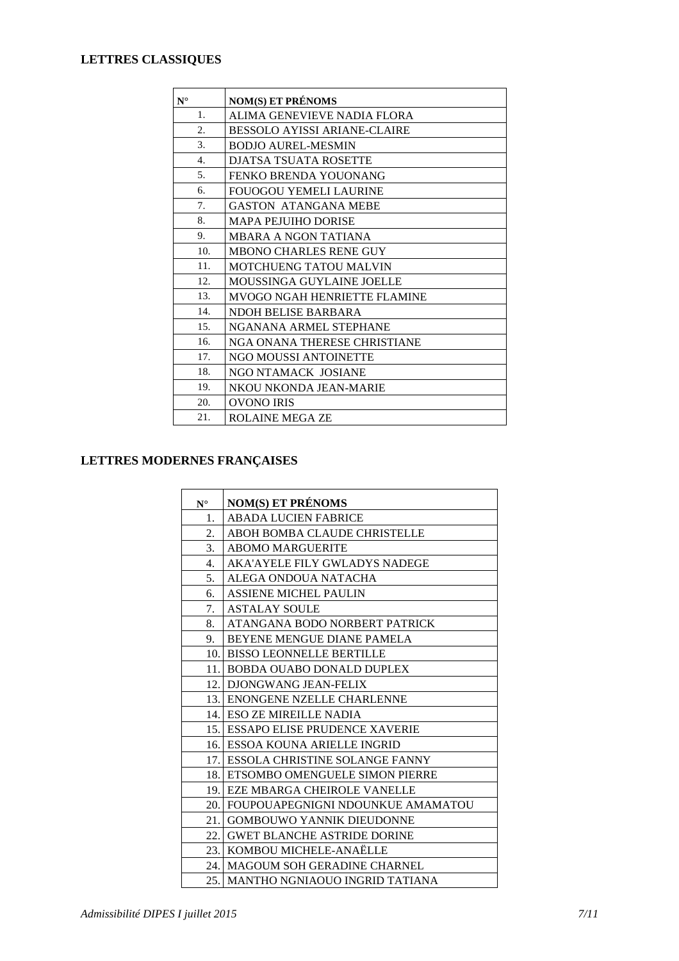## **LETTRES CLASSIQUES**

| $N^{\circ}$      | <b>NOM(S) ET PRÉNOMS</b>            |
|------------------|-------------------------------------|
| 1.               | ALIMA GENEVIEVE NADIA FLORA         |
| $\overline{2}$ . | <b>BESSOLO AYISSI ARIANE-CLAIRE</b> |
| 3.               | <b>BODJO AUREL-MESMIN</b>           |
| $\overline{4}$ . | <b>DJATSA TSUATA ROSETTE</b>        |
| 5 <sub>1</sub>   | FENKO BRENDA YOUONANG               |
| 6.               | <b>FOUOGOU YEMELI LAURINE</b>       |
| 7.               | <b>GASTON ATANGANA MEBE</b>         |
| 8.               | <b>MAPA PEJUIHO DORISE</b>          |
| 9.               | MBARA A NGON TATIANA                |
| 10.              | <b>MBONO CHARLES RENE GUY</b>       |
| 11.              | <b>MOTCHUENG TATOU MALVIN</b>       |
| 12.              | MOUSSINGA GUYLAINE JOELLE           |
| 13.              | <b>MVOGO NGAH HENRIETTE FLAMINE</b> |
| 14.              | NDOH BELISE BARBARA                 |
| 15.              | NGANANA ARMEL STEPHANE              |
| 16.              | NGA ONANA THERESE CHRISTIANE        |
| 17.              | NGO MOUSSI ANTOINETTE               |
| 18.              | NGO NTAMACK JOSIANE                 |
| 19.              | NKOU NKONDA JEAN-MARIE              |
| 20.              | <b>OVONO IRIS</b>                   |
| 21.              | <b>ROLAINE MEGA ZE</b>              |

## **LETTRES MODERNES FRANÇAISES**

| $N^{\circ}$ | <b>NOM(S) ET PRÉNOMS</b>               |
|-------------|----------------------------------------|
| 1.          | <b>ABADA LUCIEN FABRICE</b>            |
| 2.          | ABOH BOMBA CLAUDE CHRISTELLE           |
| 3.          | <b>ABOMO MARGUERITE</b>                |
| 4.          | <b>AKA'AYELE FILY GWLADYS NADEGE</b>   |
| 5.          | ALEGA ONDOUA NATACHA                   |
| 6.          | <b>ASSIENE MICHEL PAULIN</b>           |
| 7.          | <b>ASTALAY SOULE</b>                   |
| 8.          | ATANGANA BODO NORBERT PATRICK          |
| 9.          | BEYENE MENGUE DIANE PAMELA             |
|             | 10. BISSO LEONNELLE BERTILLE           |
|             | 11. BOBDA OUABO DONALD DUPLEX          |
|             | 12. DJONGWANG JEAN-FELIX               |
|             | 13. ENONGENE NZELLE CHARLENNE          |
|             | 14. ESO ZE MIREILLE NADIA              |
|             | 15. ESSAPO ELISE PRUDENCE XAVERIE      |
|             | 16. ESSOA KOUNA ARIELLE INGRID         |
|             | 17. ESSOLA CHRISTINE SOLANGE FANNY     |
|             | 18. ETSOMBO OMENGUELE SIMON PIERRE     |
|             | <b>19. EZE MBARGA CHEIROLE VANELLE</b> |
|             | 20. FOUPOUAPEGNIGNI NDOUNKUE AMAMATOU  |
|             | 21. GOMBOUWO YANNIK DIEUDONNE          |
|             | 22. GWET BLANCHE ASTRIDE DORINE        |
|             | 23. KOMBOU MICHELE-ANAËLLE             |
|             | 24. MAGOUM SOH GERADINE CHARNEL        |
|             | 25.   MANTHO NGNIAOUO INGRID TATIANA   |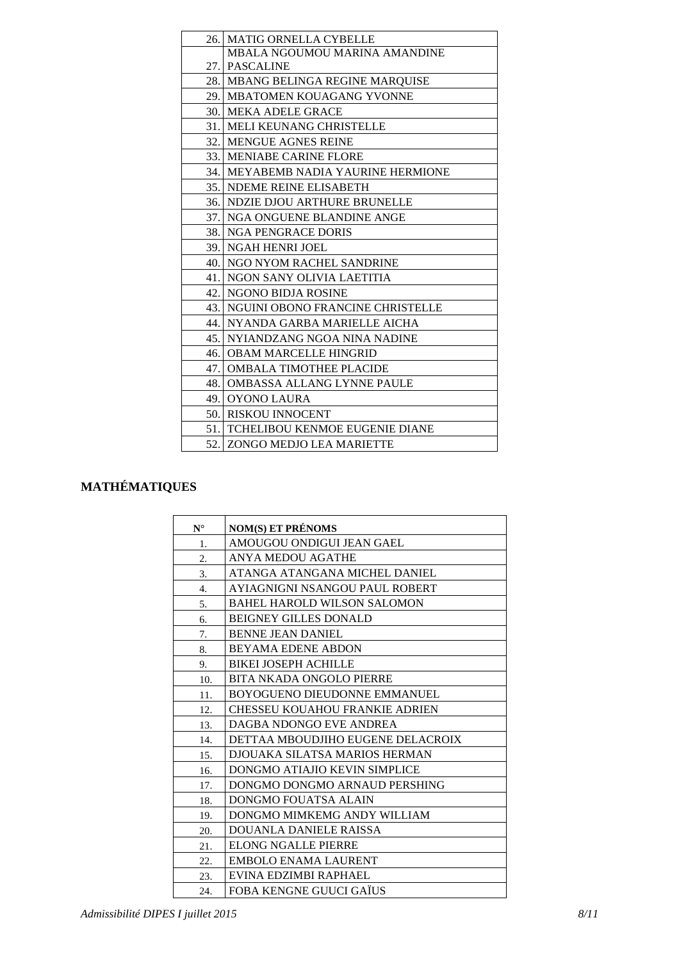| 26. | MATIG ORNELLA CYBELLE                      |
|-----|--------------------------------------------|
|     | MBALA NGOUMOU MARINA AMANDINE              |
|     | 27. PASCALINE                              |
|     | 28.   MBANG BELINGA REGINE MAROUISE        |
|     | 29. MBATOMEN KOUAGANG YVONNE               |
|     | <b>30. MEKA ADELE GRACE</b>                |
| 31. | <b>MELI KEUNANG CHRISTELLE</b>             |
|     | <b>32. MENGUE AGNES REINE</b>              |
|     | 33. MENIABE CARINE FLORE                   |
|     | <b>34. MEYABEMB NADIA YAURINE HERMIONE</b> |
|     | 35. NDEME REINE ELISABETH                  |
|     | <b>36. NDZIE DJOU ARTHURE BRUNELLE</b>     |
|     | 37. NGA ONGUENE BLANDINE ANGE              |
|     | 38. NGA PENGRACE DORIS                     |
|     | 39. NGAH HENRI JOEL                        |
|     | 40. NGO NYOM RACHEL SANDRINE               |
|     | 41. NGON SANY OLIVIA LAETITIA              |
| 42. | NGONO BIDJA ROSINE                         |
|     | 43. NGUINI OBONO FRANCINE CHRISTELLE       |
|     | 44. NYANDA GARBA MARIELLE AICHA            |
|     | 45. NYIANDZANG NGOA NINA NADINE            |
|     | <b>46. OBAM MARCELLE HINGRID</b>           |
|     | 47.   OMBALA TIMOTHEE PLACIDE              |
| 48. | OMBASSA ALLANG LYNNE PAULE                 |
|     | 49. OYONO LAURA                            |
|     | 50. RISKOU INNOCENT                        |
|     | 51. TCHELIBOU KENMOE EUGENIE DIANE         |
|     | 52. ZONGO MEDJO LEA MARIETTE               |

# **MATHÉMATIQUES**

| $N^{\circ}$ | <b>NOM(S) ET PRÉNOMS</b>              |
|-------------|---------------------------------------|
| 1.          | AMOUGOU ONDIGUI JEAN GAEL             |
| 2.          | <b>ANYA MEDOU AGATHE</b>              |
| 3.          | ATANGA ATANGANA MICHEL DANIEL         |
| 4.          | AYIAGNIGNI NSANGOU PAUL ROBERT        |
| 5.          | <b>BAHEL HAROLD WILSON SALOMON</b>    |
| 6.          | <b>BEIGNEY GILLES DONALD</b>          |
| 7.          | <b>BENNE JEAN DANIEL</b>              |
| 8.          | <b>BEYAMA EDENE ABDON</b>             |
| 9.          | <b>BIKEI JOSEPH ACHILLE</b>           |
| 10.         | <b>BITA NKADA ONGOLO PIERRE</b>       |
| 11.         | <b>BOYOGUENO DIEUDONNE EMMANUEL</b>   |
| 12.         | <b>CHESSEU KOUAHOU FRANKIE ADRIEN</b> |
| 13.         | DAGBA NDONGO EVE ANDREA               |
| 14.         | DETTAA MBOUDJIHO EUGENE DELACROIX     |
| 15.         | <b>DJOUAKA SILATSA MARIOS HERMAN</b>  |
| 16.         | DONGMO ATIAJIO KEVIN SIMPLICE         |
| 17.         | DONGMO DONGMO ARNAUD PERSHING         |
| 18.         | <b>DONGMO FOUATSA ALAIN</b>           |
| 19.         | DONGMO MIMKEMG ANDY WILLIAM           |
| 20.         | <b>DOUANLA DANIELE RAISSA</b>         |
| 21.         | ELONG NGALLE PIERRE                   |
| 22.         | <b>EMBOLO ENAMA LAURENT</b>           |
| 23.         | EVINA EDZIMBI RAPHAEL                 |
| 24.         | FOBA KENGNE GUUCI GAÏUS               |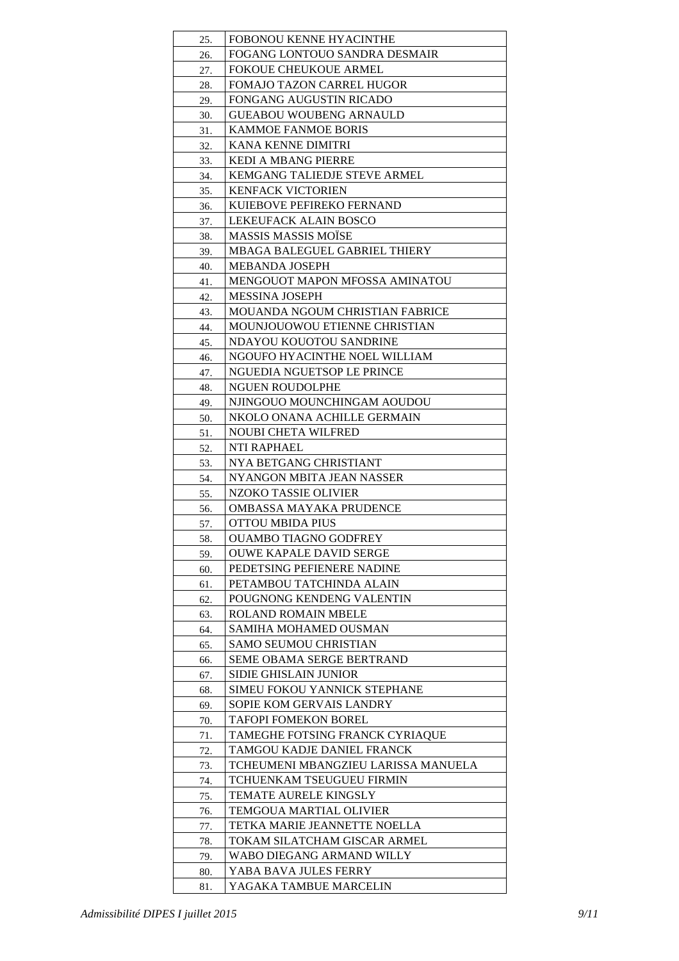| 25.        | FOBONOU KENNE HYACINTHE                                       |
|------------|---------------------------------------------------------------|
| 26.        | FOGANG LONTOUO SANDRA DESMAIR                                 |
| 27.        | <b>FOKOUE CHEUKOUE ARMEL</b>                                  |
| 28.        | <b>FOMAJO TAZON CARREL HUGOR</b>                              |
| 29.        | <b>FONGANG AUGUSTIN RICADO</b>                                |
| 30.        | <b>GUEABOU WOUBENG ARNAULD</b>                                |
| 31.        | <b>KAMMOE FANMOE BORIS</b>                                    |
| 32.        | KANA KENNE DIMITRI                                            |
| 33.        | <b>KEDI A MBANG PIERRE</b>                                    |
| 34.        | KEMGANG TALIEDJE STEVE ARMEL                                  |
| 35.        | <b>KENFACK VICTORIEN</b>                                      |
| 36.        | KUIEBOVE PEFIREKO FERNAND                                     |
| 37.        | LEKEUFACK ALAIN BOSCO                                         |
| 38.        | <b>MASSIS MASSIS MOÏSE</b>                                    |
| 39.        | <b>MBAGA BALEGUEL GABRIEL THIERY</b>                          |
| 40.        | <b>MEBANDA JOSEPH</b>                                         |
| 41.        | MENGOUOT MAPON MFOSSA AMINATOU                                |
| 42.        | <b>MESSINA JOSEPH</b>                                         |
| 43.        | <b>MOUANDA NGOUM CHRISTIAN FABRICE</b>                        |
| 44.        | MOUNJOUOWOU ETIENNE CHRISTIAN                                 |
| 45.        | NDAYOU KOUOTOU SANDRINE                                       |
| 46.        | NGOUFO HYACINTHE NOEL WILLIAM                                 |
| 47.        | NGUEDIA NGUETSOP LE PRINCE                                    |
| 48.        | <b>NGUEN ROUDOLPHE</b>                                        |
| 49.        | NJINGOUO MOUNCHINGAM AOUDOU                                   |
| 50.        | NKOLO ONANA ACHILLE GERMAIN                                   |
| 51.        | <b>NOUBI CHETA WILFRED</b>                                    |
| 52.        | NTI RAPHAEL                                                   |
| 53.        | NYA BETGANG CHRISTIANT                                        |
| 54.        | NYANGON MBITA JEAN NASSER                                     |
| 55.        | NZOKO TASSIE OLIVIER                                          |
| 56.        | OMBASSA MAYAKA PRUDENCE                                       |
| 57.        | OTTOU MBIDA PIUS                                              |
| 58.        | <b>OUAMBO TIAGNO GODFREY</b>                                  |
| 59.        | <b>OUWE KAPALE DAVID SERGE</b>                                |
| 60.        | PEDETSING PEFIENERE NADINE                                    |
| 61.        | PETAMBOU TATCHINDA ALAIN                                      |
| 62.        | POUGNONG KENDENG VALENTIN                                     |
| 63.        | <b>ROLAND ROMAIN MBELE</b>                                    |
| 64.        | SAMIHA MOHAMED OUSMAN                                         |
| 65.        | SAMO SEUMOU CHRISTIAN                                         |
| 66.        | <b>SEME OBAMA SERGE BERTRAND</b>                              |
| 67.        | SIDIE GHISLAIN JUNIOR                                         |
| 68.        | SIMEU FOKOU YANNICK STEPHANE                                  |
| 69.        | SOPIE KOM GERVAIS LANDRY                                      |
| 70.        | <b>TAFOPI FOMEKON BOREL</b>                                   |
| 71.        | TAMEGHE FOTSING FRANCK CYRIAQUE<br>TAMGOU KADJE DANIEL FRANCK |
| 72.        | TCHEUMENI MBANGZIEU LARISSA MANUELA                           |
| 73.<br>74. | TCHUENKAM TSEUGUEU FIRMIN                                     |
| 75.        | <b>TEMATE AURELE KINGSLY</b>                                  |
| 76.        | TEMGOUA MARTIAL OLIVIER                                       |
| 77.        | TETKA MARIE JEANNETTE NOELLA                                  |
| 78.        | TOKAM SILATCHAM GISCAR ARMEL                                  |
| 79.        | WABO DIEGANG ARMAND WILLY                                     |
| 80.        | YABA BAVA JULES FERRY                                         |
| 81.        | YAGAKA TAMBUE MARCELIN                                        |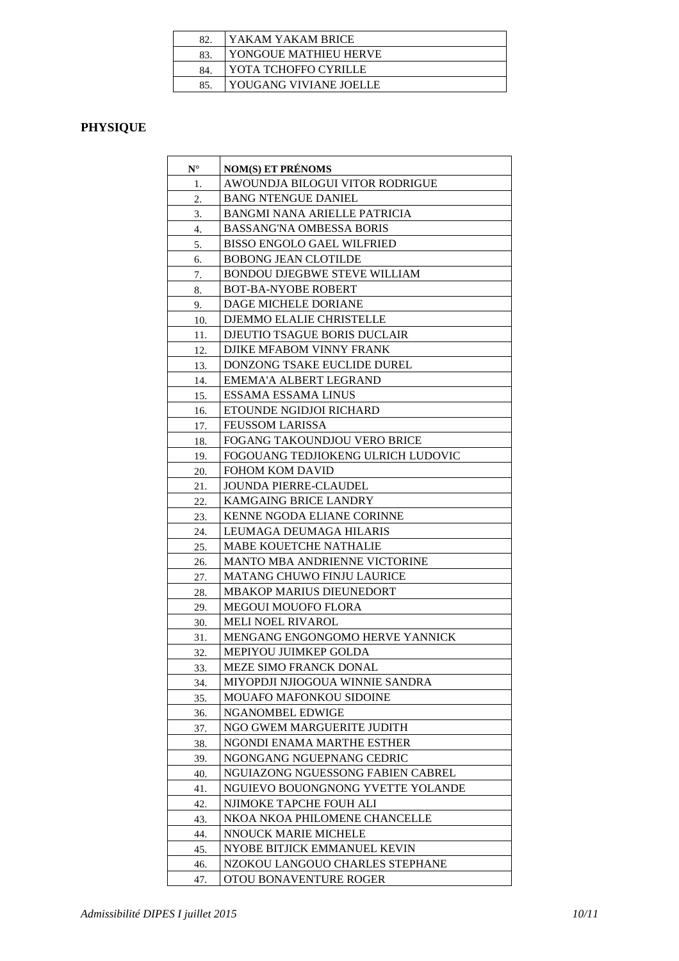| 82. | YAKAM YAKAM BRICE      |
|-----|------------------------|
| 83  | YONGOUE MATHIEU HERVE  |
| 84. | YOTA TCHOFFO CYRILLE   |
| 85  | YOUGANG VIVIANE JOELLE |

## **PHYSIQUE**

| $N^{\circ}$ | <b>NOM(S) ET PRÉNOMS</b>                                        |
|-------------|-----------------------------------------------------------------|
| 1.          | AWOUNDJA BILOGUI VITOR RODRIGUE                                 |
| 2.          | <b>BANG NTENGUE DANIEL</b>                                      |
| 3.          | <b>BANGMI NANA ARIELLE PATRICIA</b>                             |
| 4.          | <b>BASSANG'NA OMBESSA BORIS</b>                                 |
| 5.          | <b>BISSO ENGOLO GAEL WILFRIED</b>                               |
| 6.          | <b>BOBONG JEAN CLOTILDE</b>                                     |
| 7.          | <b>BONDOU DJEGBWE STEVE WILLIAM</b>                             |
| 8.          | <b>BOT-BA-NYOBE ROBERT</b>                                      |
| 9.          | DAGE MICHELE DORIANE                                            |
| 10.         | DJEMMO ELALIE CHRISTELLE                                        |
| 11.         | DJEUTIO TSAGUE BORIS DUCLAIR                                    |
| 12.         | DJIKE MFABOM VINNY FRANK                                        |
| 13.         | DONZONG TSAKE EUCLIDE DUREL                                     |
| 14.         | EMEMA'A ALBERT LEGRAND                                          |
| 15.         | ESSAMA ESSAMA LINUS                                             |
| 16.         | ETOUNDE NGIDJOI RICHARD                                         |
| 17.         | <b>FEUSSOM LARISSA</b>                                          |
| 18.         | FOGANG TAKOUNDJOU VERO BRICE                                    |
| 19.         | FOGOUANG TEDJIOKENG ULRICH LUDOVIC                              |
| 20.         | <b>FOHOM KOM DAVID</b>                                          |
| 21.         | <b>JOUNDA PIERRE-CLAUDEL</b>                                    |
| 22.         | KAMGAING BRICE LANDRY                                           |
| 23.         | KENNE NGODA ELIANE CORINNE                                      |
| 24.         | LEUMAGA DEUMAGA HILARIS                                         |
| 25.         | <b>MABE KOUETCHE NATHALIE</b>                                   |
| 26.         | <b>MANTO MBA ANDRIENNE VICTORINE</b>                            |
| 27.         | <b>MATANG CHUWO FINJU LAURICE</b>                               |
| 28.         | MBAKOP MARIUS DIEUNEDORT                                        |
| 29.         | <b>MEGOUI MOUOFO FLORA</b>                                      |
| 30.         | <b>MELI NOEL RIVAROL</b>                                        |
| 31.         | MENGANG ENGONGOMO HERVE YANNICK                                 |
| 32.         | MEPIYOU JUIMKEP GOLDA                                           |
| 33.         | MEZE SIMO FRANCK DONAL                                          |
| 34.         | MIYOPDJI NJIOGOUA WINNIE SANDRA                                 |
| 35.         | <b>MOUAFO MAFONKOU SIDOINE</b>                                  |
| 36.         | NGANOMBEL EDWIGE                                                |
| 37.         | NGO GWEM MARGUERITE JUDITH                                      |
| 38.         | NGONDI ENAMA MARTHE ESTHER                                      |
| 39.         | NGONGANG NGUEPNANG CEDRIC                                       |
| 40.         | NGUIAZONG NGUESSONG FABIEN CABREL                               |
| 41.         | NGUIEVO BOUONGNONG YVETTE YOLANDE                               |
| 42.         | NJIMOKE TAPCHE FOUH ALI                                         |
| 43.         | NKOA NKOA PHILOMENE CHANCELLE                                   |
| 44.         | NNOUCK MARIE MICHELE                                            |
| 45.         | NYOBE BITJICK EMMANUEL KEVIN<br>NZOKOU LANGOUO CHARLES STEPHANE |
| 46.<br>47.  | OTOU BONAVENTURE ROGER                                          |
|             |                                                                 |